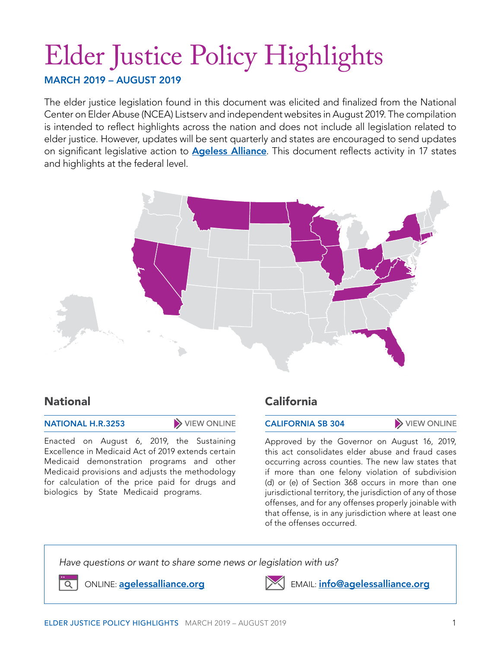# Elder Justice Policy Highlights

## MARC H 2 01 9 – A UG U ST 2 01 9

The elder justice legislation found in this document was elicited and finalized from the National Center on Elder Abuse (NCEA) Listserv and independent websites in August 2019. The compilation is intended to reflect highlights across the nation and does not include all legislation related to elder justice. However, updates will be sent quarterly and states are encouraged to send updates on significant legislative action to **[Ageless Alliance](mailto:info%40agelessalliance.org?subject=)**. This document reflects activity in 17 states and highlights at the federal level.



## **National**

NATIONAL H.R.3253

VIEW ONLINE

Enacted on August 6, 2019, the Sustaining Excellence in Medicaid Act of 2019 extends certain Medicaid demonstration programs and other Medicaid provisions and adjusts the methodology for calculation of the price paid for drugs and biologics by State Medicaid programs.

## **California**

CALIFORNIA SB 304

VIEW ONLINE

Approved by the Governor on August 16, 2019, this act consolidates elder abuse and fraud cases occurring across counties. The new law states that if more than one felony violation of subdivision (d) or (e) of Section 368 occurs in more than one jurisdictional territory, the jurisdiction of any of those offenses, and for any offenses properly joinable with that offense, is in any jurisdiction where at least one of the offenses occurred.

*Have questions or want to share some news or legislation with us?*





ONLINE: [agelessalliance.org](http://agelessalliance.org) EMAIL: info@agelessalliance.org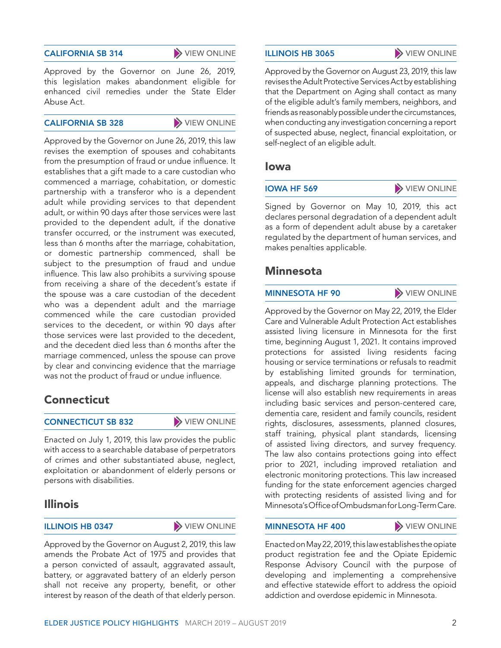ELDER JUSTICE POLICY HIGHLIGHTS MARCH 2019 – AUGUST 2019 2

CALIFORNIA SB 314

VIEW ONLINE

Approved by the Governor on June 26, 2019, this legislation makes abandonment eligible for enhanced civil remedies under the State Elder Abuse Act.

#### CALIFORNIA SB 328

VIEW ONLINE

Approved by the Governor on June 26, 2019, this law revises the exemption of spouses and cohabitants from the presumption of fraud or undue influence. It establishes that a gift made to a care custodian who commenced a marriage, cohabitation, or domestic partnership with a transferor who is a dependent adult while providing services to that dependent adult, or within 90 days after those services were last provided to the dependent adult, if the donative transfer occurred, or the instrument was executed, less than 6 months after the marriage, cohabitation, or domestic partnership commenced, shall be subject to the presumption of fraud and undue influence. This law also prohibits a surviving spouse from receiving a share of the decedent's estate if the spouse was a care custodian of the decedent who was a dependent adult and the marriage commenced while the care custodian provided services to the decedent, or within 90 days after those services were last provided to the decedent, and the decedent died less than 6 months after the marriage commenced, unless the spouse can prove by clear and convincing evidence that the marriage was not the product of fraud or undue influence.

## Connecticut

CONNECTICUT SB 832

VIEW ONLINE

Enacted on July 1, 2019, this law provides the public with access to a searchable database of perpetrators of crimes and other substantiated abuse, neglect, exploitation or abandonment of elderly persons or persons with disabilities.

## Illinois

#### ILLINOIS HB 0347

VIEW ONLINE

Approved by the Governor on August 2, 2019, this law amends the Probate Act of 1975 and provides that a person convicted of assault, aggravated assault, battery, or aggravated battery of an elderly person shall not receive any property, benefit, or other interest by reason of the death of that elderly person.

#### ILLINOIS HB 3065

VIEW ONLINE

Approved by the Governor on August 23, 2019, this law revises the Adult Protective Services Act by establishing that the Department on Aging shall contact as many of the eligible adult's family members, neighbors, and friends as reasonably possible under the circumstances, when conducting any investigation concerning a report of suspected abuse, neglect, financial exploitation, or self-neglect of an eligible adult.

#### Iowa

IOWA HF 569

VIEW ONLINE

Signed by Governor on May 10, 2019, this act declares personal degradation of a dependent adult as a form of dependent adult abuse by a caretaker regulated by the department of human services, and makes penalties applicable.

## **Minnesota**

MINNESOTA HF 90

VIEW ONLINE

Approved by the Governor on May 22, 2019, the Elder Care and Vulnerable Adult Protection Act establishes assisted living licensure in Minnesota for the first time, beginning August 1, 2021. It contains improved protections for assisted living residents facing housing or service terminations or refusals to readmit by establishing limited grounds for termination, appeals, and discharge planning protections. The license will also establish new requirements in areas including basic services and person-centered care, dementia care, resident and family councils, resident rights, disclosures, assessments, planned closures, staff training, physical plant standards, licensing of assisted living directors, and survey frequency. The law also contains protections going into effect prior to 2021, including improved retaliation and electronic monitoring protections. This law increased funding for the state enforcement agencies charged with protecting residents of assisted living and for Minnesota's Office of Ombudsman for Long-Term Care.

#### MINNESOTA HF 400

VIEW ONLINE

Enacted on May 22, 2019, this law establishes the opiate product registration fee and the Opiate Epidemic Response Advisory Council with the purpose of developing and implementing a comprehensive and effective statewide effort to address the opioid addiction and overdose epidemic in Minnesota.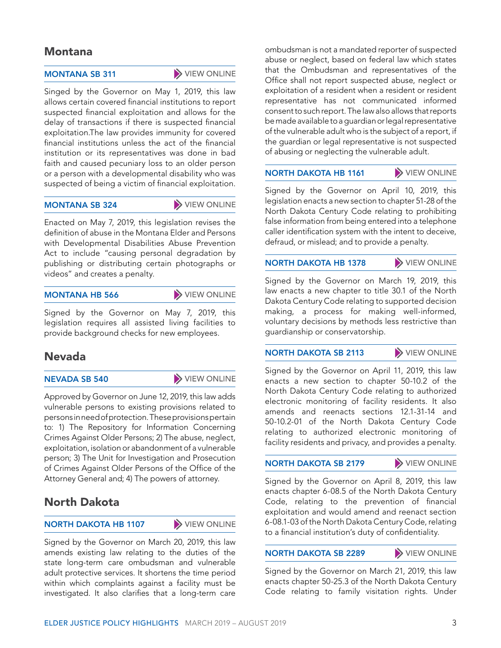## Montana

#### MONTANA SB 311

VIEW ONLINE

Singed by the Governor on May 1, 2019, this law allows certain covered financial institutions to report suspected financial exploitation and allows for the delay of transactions if there is suspected financial exploitation.The law provides immunity for covered financial institutions unless the act of the financial institution or its representatives was done in bad faith and caused pecuniary loss to an older person or a person with a developmental disability who was suspected of being a victim of financial exploitation.

#### MONTANA SB 324

VIEW ONLINE

Enacted on May 7, 2019, this legislation revises the definition of abuse in the Montana Elder and Persons with Developmental Disabilities Abuse Prevention Act to include "causing personal degradation by publishing or distributing certain photographs or videos" and creates a penalty.

#### MONTANA HB 566

VIEW ONLINE

Signed by the Governor on May 7, 2019, this legislation requires all assisted living facilities to provide background checks for new employees.

## Nevada

#### NEVADA SB 540

VIEW ONLINE

Approved by Governor on June 12, 2019, this law adds vulnerable persons to existing provisions related to persons in need of protection. These provisions pertain to: 1) The Repository for Information Concerning Crimes Against Older Persons; 2) The abuse, neglect, exploitation, isolation or abandonment of a vulnerable person; 3) The Unit for Investigation and Prosecution of Crimes Against Older Persons of the Office of the Attorney General and; 4) The powers of attorney.

## North Dakota

#### NORTH DAKOTA HB 1107

VIEW ONLINE

Signed by the Governor on March 20, 2019, this law amends existing law relating to the duties of the state long-term care ombudsman and vulnerable adult protective services. It shortens the time period within which complaints against a facility must be investigated. It also clarifies that a long-term care

ombudsman is not a mandated reporter of suspected abuse or neglect, based on federal law which states that the Ombudsman and representatives of the Office shall not report suspected abuse, neglect or exploitation of a resident when a resident or resident representative has not communicated informed consent to such report. The law also allows that reports be made available to a guardian or legal representative of the vulnerable adult who is the subject of a report, if the guardian or legal representative is not suspected of abusing or neglecting the vulnerable adult.

#### NORTH DAKOTA HB 1161

VIEW ONLINE

Signed by the Governor on April 10, 2019, this legislation enacts a new section to chapter 51‑28 of the North Dakota Century Code relating to prohibiting false information from being entered into a telephone caller identification system with the intent to deceive, defraud, or mislead; and to provide a penalty.

#### NORTH DAKOTA HB 1378

VIEW ONLINE

Signed by the Governor on March 19, 2019, this law enacts a new chapter to title 30.1 of the North Dakota Century Code relating to supported decision making, a process for making well-informed, voluntary decisions by methods less restrictive than guardianship or conservatorship.

#### NORTH DAKOTA SB 2113

VIEW ONLINE

Signed by the Governor on April 11, 2019, this law enacts a new section to chapter 50‑10.2 of the North Dakota Century Code relating to authorized electronic monitoring of facility residents. It also amends and reenacts sections 12.1‑31‑14 and 50‑10.2‑01 of the North Dakota Century Code relating to authorized electronic monitoring of facility residents and privacy, and provides a penalty.

NORTH DAKOTA SB 2179

VIEW ONLINE

Signed by the Governor on April 8, 2019, this law enacts chapter 6‑08.5 of the North Dakota Century Code, relating to the prevention of financial exploitation and would amend and reenact section 6‑08.1‑03 of the North Dakota Century Code, relating to a financial institution's duty of confidentiality.

#### NORTH DAKOTA SB 2289

VIEW ONLINE

Signed by the Governor on March 21, 2019, this law enacts chapter 50‑25.3 of the North Dakota Century Code relating to family visitation rights. Under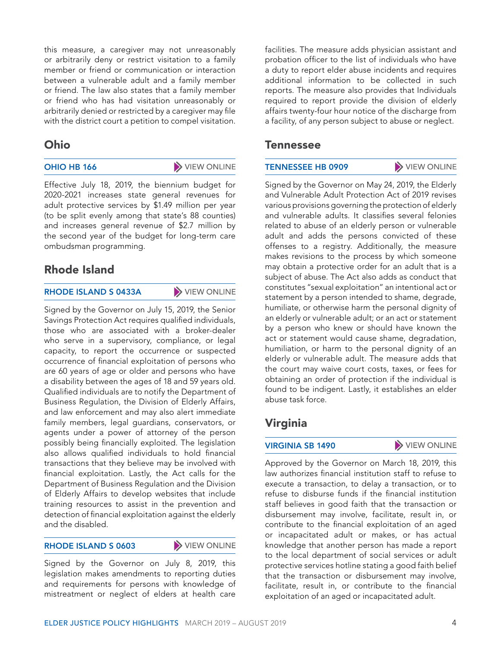this measure, a caregiver may not unreasonably or arbitrarily deny or restrict visitation to a family member or friend or communication or interaction between a vulnerable adult and a family member or friend. The law also states that a family member or friend who has had visitation unreasonably or arbitrarily denied or restricted by a caregiver may file with the district court a petition to compel visitation.

## Ohio

#### OHIO HB 166

VIEW ONLINE

Effective July 18, 2019, the biennium budget for 2020-2021 increases state general revenues for adult protective services by \$1.49 million per year (to be split evenly among that state's 88 counties) and increases general revenue of \$2.7 million by the second year of the budget for long-term care ombudsman programming.

## Rhode Island

#### RHODE ISLAND S 0433A

VIEW ONLINE

Signed by the Governor on July 15, 2019, the Senior Savings Protection Act requires qualified individuals, those who are associated with a broker-dealer who serve in a supervisory, compliance, or legal capacity, to report the occurrence or suspected occurrence of financial exploitation of persons who are 60 years of age or older and persons who have a disability between the ages of 18 and 59 years old. Qualified individuals are to notify the Department of Business Regulation, the Division of Elderly Affairs, and law enforcement and may also alert immediate family members, legal guardians, conservators, or agents under a power of attorney of the person possibly being financially exploited. The legislation also allows qualified individuals to hold financial transactions that they believe may be involved with financial exploitation. Lastly, the Act calls for the Department of Business Regulation and the Division of Elderly Affairs to develop websites that include training resources to assist in the prevention and detection of financial exploitation against the elderly and the disabled.

#### RHODE ISLAND S 0603

VIEW ONLINE

Signed by the Governor on July 8, 2019, this legislation makes amendments to reporting duties and requirements for persons with knowledge of mistreatment or neglect of elders at health care

facilities. The measure adds physician assistant and probation officer to the list of individuals who have a duty to report elder abuse incidents and requires additional information to be collected in such reports. The measure also provides that Individuals required to report provide the division of elderly affairs twenty-four hour notice of the discharge from a facility, of any person subject to abuse or neglect.

## Tennessee

#### TENNESSEE HB 0909

VIEW ONLINE

Signed by the Governor on May 24, 2019, the Elderly and Vulnerable Adult Protection Act of 2019 revises various provisions governing the protection of elderly and vulnerable adults. It classifies several felonies related to abuse of an elderly person or vulnerable adult and adds the persons convicted of these offenses to a registry. Additionally, the measure makes revisions to the process by which someone may obtain a protective order for an adult that is a subject of abuse. The Act also adds as conduct that constitutes "sexual exploitation" an intentional act or statement by a person intended to shame, degrade, humiliate, or otherwise harm the personal dignity of an elderly or vulnerable adult; or an act or statement by a person who knew or should have known the act or statement would cause shame, degradation, humiliation, or harm to the personal dignity of an elderly or vulnerable adult. The measure adds that the court may waive court costs, taxes, or fees for obtaining an order of protection if the individual is found to be indigent. Lastly, it establishes an elder abuse task force.

## Virginia

#### VIRGINIA SB 1490

VIEW ONLINE

Approved by the Governor on March 18, 2019, this law authorizes financial institution staff to refuse to execute a transaction, to delay a transaction, or to refuse to disburse funds if the financial institution staff believes in good faith that the transaction or disbursement may involve, facilitate, result in, or contribute to the financial exploitation of an aged or incapacitated adult or makes, or has actual knowledge that another person has made a report to the local department of social services or adult protective services hotline stating a good faith belief that the transaction or disbursement may involve, facilitate, result in, or contribute to the financial exploitation of an aged or incapacitated adult.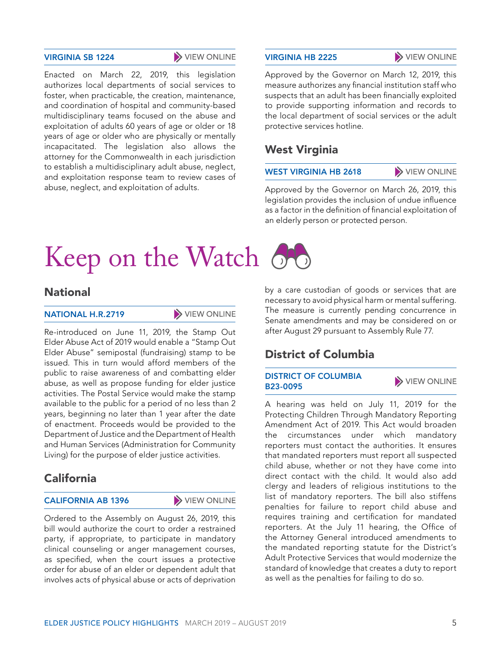#### VIRGINIA SB 1224

#### VIEW ONLINE

Enacted on March 22, 2019, this legislation authorizes local departments of social services to foster, when practicable, the creation, maintenance, and coordination of hospital and community-based multidisciplinary teams focused on the abuse and exploitation of adults 60 years of age or older or 18 years of age or older who are physically or mentally incapacitated. The legislation also allows the attorney for the Commonwealth in each jurisdiction to establish a multidisciplinary adult abuse, neglect, and exploitation response team to review cases of abuse, neglect, and exploitation of adults.

#### VIRGINIA HB 2225

VIEW ONLINE

Approved by the Governor on March 12, 2019, this measure authorizes any financial institution staff who suspects that an adult has been financially exploited to provide supporting information and records to the local department of social services or the adult protective services hotline.

## West Virginia

WEST VIRGINIA HB 2618

VIEW ONLINE

Approved by the Governor on March 26, 2019, this legislation provides the inclusion of undue influence as a factor in the definition of financial exploitation of an elderly person or protected person.



## **National**

NATIONAL H.R.2719

VIEW ONLINE

Re-introduced on June 11, 2019, the Stamp Out Elder Abuse Act of 2019 would enable a "Stamp Out Elder Abuse" semipostal (fundraising) stamp to be issued. This in turn would afford members of the public to raise awareness of and combatting elder abuse, as well as propose funding for elder justice activities. The Postal Service would make the stamp available to the public for a period of no less than 2 years, beginning no later than 1 year after the date of enactment. Proceeds would be provided to the Department of Justice and the Department of Health and Human Services (Administration for Community Living) for the purpose of elder justice activities.

## California

#### CALIFORNIA AB 1396

### VIEW ONLINE

Ordered to the Assembly on August 26, 2019, this bill would authorize the court to order a restrained party, if appropriate, to participate in mandatory clinical counseling or anger management courses, as specified, when the court issues a protective order for abuse of an elder or dependent adult that involves acts of physical abuse or acts of deprivation

by a care custodian of goods or services that are necessary to avoid physical harm or mental suffering. The measure is currently pending concurrence in Senate amendments and may be considered on or after August 29 pursuant to Assembly Rule 77.

## District of Columbia

#### DISTRICT OF COLUMBIA B23-0095

VIEW ONLINE

A hearing was held on July 11, 2019 for the Protecting Children Through Mandatory Reporting Amendment Act of 2019. This Act would broaden the circumstances under which mandatory reporters must contact the authorities. It ensures that mandated reporters must report all suspected child abuse, whether or not they have come into direct contact with the child. It would also add clergy and leaders of religious institutions to the list of mandatory reporters. The bill also stiffens penalties for failure to report child abuse and requires training and certification for mandated reporters. At the July 11 hearing, the Office of the Attorney General introduced amendments to the mandated reporting statute for the District's Adult Protective Services that would modernize the standard of knowledge that creates a duty to report as well as the penalties for failing to do so.